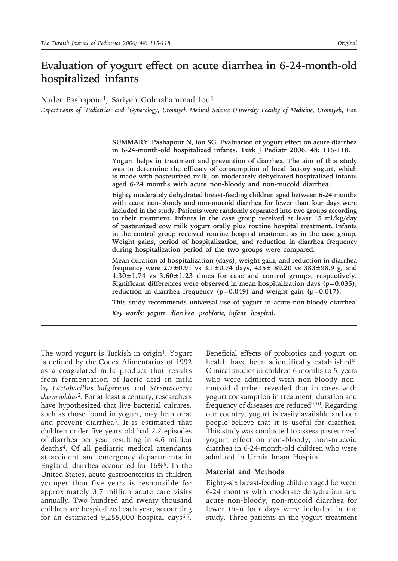# **Evaluation of yogurt effect on acute diarrhea in 6-24-month-old hospitalized infants**

Nader Pashapour<sup>1</sup>, Sariyeh Golmahammad Iou<sup>2</sup>

*Departments of 1Pediatrics, and 2Gynecology, Uromiyeh Medical Science University Faculty of Medicine, Uromiyeh, Iran*

**SUMMARY: Pashapour N, Iou SG. Evaluation of yogurt effect on acute diarrhea in 6-24-month-old hospitalized infants. Turk J Pediatr 2006; 48: 115-118.**

**Yogurt helps in treatment and prevention of diarrhea. The aim of this study was to determine the efficacy of consumption of local factory yogurt, which is made with pasteurized milk, on moderately dehydrated hospitalized infants aged 6-24 months with acute non-bloody and non-mucoid diarrhea.**

**Eighty moderately dehydrated breast-feeding children aged between 6-24 months with acute non-bloody and non-mucoid diarrhea for fewer than four days were included in the study. Patients were randomly separated into two groups according to their treatment. Infants in the case group received at least 15 ml/kg/day of pasteurized cow milk yogurt orally plus routine hospital treatment. Infants in the control group received routine hospital treatment as in the case group. Weight gains, period of hospitalization, and reduction in diarrhea frequency during hospitalization period of the two groups were compared.**

**Mean duration of hospitalization (days), weight gain, and reduction in diarrhea frequency were 2.7±0.91 vs 3.1±0.74 days, 435± 89.20 vs 383±98.9 g, and 4.30±1.74 vs 3.60±1.23 times for case and control groups, respectively. Significant differences were observed in mean hospitalization days (p=0.035), reduction in diarrhea frequency (p=0.049) and weight gain (p=0.017).**

**This study recommends universal use of yogurt in acute non-bloody diarrhea.**

*Key words: yogurt, diarrhea, probiotic, infant, hospital.*

The word yogurt is Turkish in origin<sup>1</sup>. Yogurt is defined by the Codex Alimentarius of 1992 as a coagulated milk product that results from fermentation of lactic acid in milk by *Lactobacillus bulgaricus* and *Streptococcus thermophilus*2. For at least a century, researchers have hypothesized that live bacterial cultures, such as those found in yogurt, may help treat and prevent diarrhea3. It is estimated that children under five years old had 2.2 episodes of diarrhea per year resulting in 4.6 million deaths4. Of all pediatric medical attendants at accident and emergency departments in England, diarrhea accounted for 16%5. In the United States, acute gastroenteritis in children younger than five years is responsible for approximately 3.7 million acute care visits annually. Two hundred and twenty thousand children are hospitalized each year, accounting for an estimated  $9,255,000$  hospital days<sup>6,7</sup>.

Beneficial effects of probiotics and yogurt on health have been scientifically established<sup>8</sup>. Clinical studies in children 6 months to 5 years who were admitted with non-bloody nonmucoid diarrhea revealed that in cases with yogurt consumption in treatment, duration and frequency of diseases are reduced<sup>9,10</sup>. Regarding our country, yogurt is easily available and our people believe that it is useful for diarrhea. This study was conducted to assess pasteurized yogurt effect on non-bloody, non-mucoid diarrhea in 6-24-month-old children who were admitted in Urmia Imam Hospital.

### **Material and Methods**

Eighty-six breast-feeding children aged between 6-24 months with moderate dehydration and acute non-bloody, non-mucoid diarrhea for fewer than four days were included in the study. Three patients in the yogurt treatment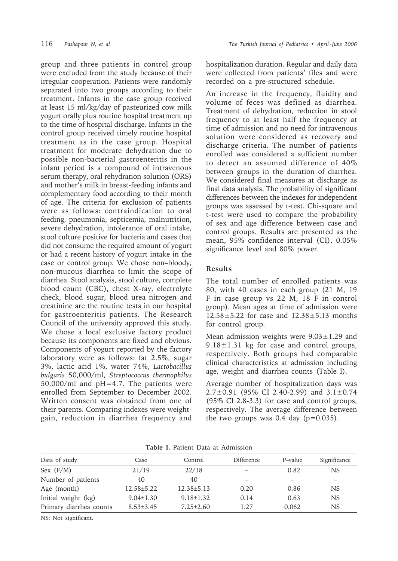group and three patients in control group were excluded from the study because of their irregular cooperation. Patients were randomly separated into two groups according to their treatment. Infants in the case group received at least 15 ml/kg/day of pasteurized cow milk yogurt orally plus routine hospital treatment up to the time of hospital discharge. Infants in the control group received timely routine hospital treatment as in the case group. Hospital treatment for moderate dehydration due to possible non-bacterial gastroenteritis in the infant period is a compound of intravenous serum therapy, oral rehydration solution (ORS) and mother's milk in breast-feeding infants and complementary food according to their month of age. The criteria for exclusion of patients were as follows: contraindication to oral feeding, pneumonia, septicemia, malnutrition, severe dehydration, intolerance of oral intake, stool culture positive for bacteria and cases that did not consume the required amount of yogurt or had a recent history of yogurt intake in the case or control group. We chose non–bloody, non-mucous diarrhea to limit the scope of diarrhea. Stool analysis, stool culture, complete blood count (CBC), chest X-ray, electrolyte check, blood sugar, blood urea nitrogen and creatinine are the routine tests in our hospital for gastroenteritis patients. The Research Council of the university approved this study. We chose a local exclusive factory product because its components are fixed and obvious. Components of yogurt reported by the factory laboratory were as follows: fat 2.5%, sugar 3%, lactic acid 1%, water 74%, *Lactobacillus bulgaris* 50,000/ml, *Streptococcus thermophilus* 50,000/ml and pH=4.7. The patients were enrolled from September to December 2002. Written consent was obtained from one of their parents. Comparing indexes were weightgain, reduction in diarrhea frequency and

hospitalization duration. Regular and daily data were collected from patients' files and were recorded on a pre-structured schedule.

An increase in the frequency, fluidity and volume of feces was defined as diarrhea. Treatment of dehydration, reduction in stool frequency to at least half the frequency at time of admission and no need for intravenous solution were considered as recovery and discharge criteria. The number of patients enrolled was considered a sufficient number to detect an assumed difference of 40% between groups in the duration of diarrhea. We considered final measures at discharge as final data analysis. The probability of significant differences between the indexes for independent groups was assessed by t-test. Chi-square and t-test were used to compare the probability of sex and age difference between case and control groups. Results are presented as the mean, 95% confidence interval (CI), 0.05% significance level and 80% power.

## **Results**

The total number of enrolled patients was 80, with 40 cases in each group (21 M, 19 F in case group vs 22 M, 18 F in control group). Mean ages at time of admission were 12.58±5.22 for case and 12.38±5.13 months for control group.

Mean admission weights were  $9.03 \pm 1.29$  and  $9.18 \pm 1.31$  kg for case and control groups, respectively. Both groups had comparable clinical characteristics at admission including age, weight and diarrhea counts (Table I).

Average number of hospitalization days was 2.7±0.91 (95% CI 2.40-2.99) and 3.1±0.74 (95% CI 2.8-3.3) for case and control groups, respectively. The average difference between the two groups was  $0.4$  day ( $p=0.035$ ).

| Data of study           | Case             | Control          | Difference               | P-value | Significance |
|-------------------------|------------------|------------------|--------------------------|---------|--------------|
| Sex $(F/M)$             | 21/19            | 22/18            |                          | 0.82    | NS.          |
| Number of patients      | 40               | 40               | $\overline{\phantom{a}}$ |         |              |
| Age (month)             | $12.58 \pm 5.22$ | $12.38 \pm 5.13$ | 0.20                     | 0.86    | NS.          |
| Initial weight (kg)     | $9.04 \pm 1.30$  | $9.18 \pm 1.32$  | 0.14                     | 0.63    | NS.          |
| Primary diarrhea counts | $8.53\pm3.45$    | $7.25 \pm 2.60$  | 1.27                     | 0.062   | NS           |

**Table I.** Patient Data at Admission

NS: Not significant.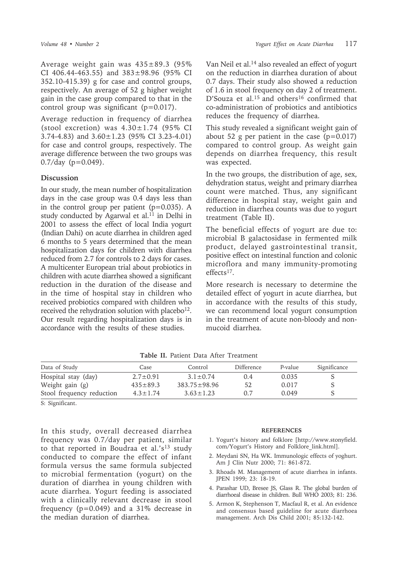Average weight gain was 435±89.3 (95% CI 406.44-463.55) and  $383\pm98.96$  (95% CI 352.10-415.39) g for case and control groups, respectively. An average of 52 g higher weight gain in the case group compared to that in the control group was significant (p=0.017).

Average reduction in frequency of diarrhea (stool excretion) was  $4.30 \pm 1.74$  (95% CI 3.74-4.83) and 3.60±1.23 (95% CI 3.23-4.01) for case and control groups, respectively. The average difference between the two groups was  $0.7$ /day (p=0.049).

## **Discussion**

In our study, the mean number of hospitalization days in the case group was 0.4 days less than in the control group per patient  $(p=0.035)$ . A study conducted by Agarwal et al.<sup>11</sup> in Delhi in 2001 to assess the effect of local India yogurt (Indian Dahi) on acute diarrhea in children aged 6 months to 5 years determined that the mean hospitalization days for children with diarrhea reduced from 2.7 for controls to 2 days for cases. A multicenter European trial about probiotics in children with acute diarrhea showed a significant reduction in the duration of the disease and in the time of hospital stay in children who received probiotics compared with children who received the rehydration solution with placebo<sup>12</sup>. Our result regarding hospitalization days is in accordance with the results of these studies.

Van Neil et al.14 also revealed an effect of yogurt on the reduction in diarrhea duration of about 0.7 days. Their study also showed a reduction of 1.6 in stool frequency on day 2 of treatment. D'Souza et al.<sup>15</sup> and others<sup>16</sup> confirmed that co-administration of probiotics and antibiotics reduces the frequency of diarrhea.

This study revealed a significant weight gain of about 52 g per patient in the case  $(p=0.017)$ compared to control group. As weight gain depends on diarrhea frequency, this result was expected.

In the two groups, the distribution of age, sex, dehydration status, weight and primary diarrhea count were matched. Thus, any significant difference in hospital stay, weight gain and reduction in diarrhea counts was due to yogurt treatment (Table II).

The beneficial effects of yogurt are due to: microbial B galactosidase in fermented milk product, delayed gastrointestinal transit, positive effect on intestinal function and colonic microflora and many immunity-promoting effects17.

More research is necessary to determine the detailed effect of yogurt in acute diarrhea, but in accordance with the results of this study, we can recommend local yogurt consumption in the treatment of acute non-bloody and nonmucoid diarrhea.

| Data of Study             | Case           | Control            | Difference | P-value | Significance |
|---------------------------|----------------|--------------------|------------|---------|--------------|
| Hospital stay (day)       | $2.7 \pm 0.91$ | $3.1 \pm 0.74$     | (0.4)      | 0.035   |              |
| Weight gain (g)           | $435 \pm 89.3$ | $383.75 \pm 98.96$ | 52         | 0.017   |              |
| Stool frequency reduction | $4.3 \pm 1.74$ | $3.63 \pm 1.23$    |            | 0.049   |              |

**Table II.** Patient Data After Treatment

S: Significant.

In this study, overall decreased diarrhea frequency was 0.7/day per patient, similar to that reported in Boudraa et al.'s<sup>13</sup> study conducted to compare the effect of infant formula versus the same formula subjected to microbial fermentation (yogurt) on the duration of diarrhea in young children with acute diarrhea. Yogurt feeding is associated with a clinically relevant decrease in stool frequency  $(p=0.049)$  and a 31% decrease in the median duration of diarrhea.

### **REFERENCES**

- 1. Yogurt's history and folklore [http://www.stonyfield. com/Yogurt's History and Folklore\_link.html].
- 2. Meydani SN, Ha WK. Immunologic effects of yoghurt. Am J Clin Nutr 2000; 71: 861-872.
- 3. Rhoads M. Management of acute diarrhea in infants. JPEN 1999; 23: 18-19.
- 4. Parashar UD, Bresee JS, Glass R. The global burden of diarrhoeal disease in children. Bull WHO 2003; 81: 236.
- 5. Armon K, Stephenson T, Macfaul R, et al. An evidence and consensus based guideline for acute diarrhoea management. Arch Dis Child 2001; 85:132-142.